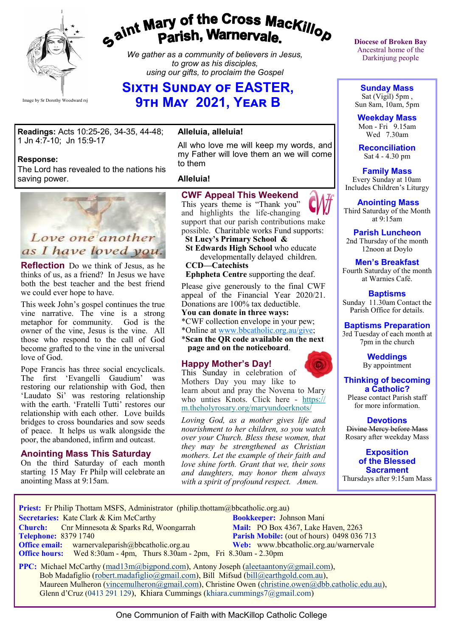

# gaint Mary of the Cross Mackillop<br>Parish, Warnervale.

*We gather as a community of believers in Jesus, to grow as his disciples, using our gifts, to proclaim the Gospel*

## **SIXTH SUNDAY OF EASTER, 9th May 2021, Year B**

**Readings:** Acts 10:25-26, 34-35, 44-48; 1 Jn 4:7-10; Jn 15:9-17

### **Response:**

The Lord has revealed to the nations his saving power.



**Reflection** Do we think of Jesus, as he thinks of us, as a friend? In Jesus we have both the best teacher and the best friend we could ever hope to have.

This week John's gospel continues the true vine narrative. The vine is a strong metaphor for community. God is the owner of the vine, Jesus is the vine. All those who respond to the call of God become grafted to the vine in the universal love of God.

Pope Francis has three social encyclicals. The first 'Evangelli Gaudium' was restoring our relationship with God, then 'Laudato Si' was restoring relationship with the earth. 'Fratelli Tutti' restores our relationship with each other. Love builds bridges to cross boundaries and sow seeds of peace. It helps us walk alongside the poor, the abandoned, infirm and outcast.

### **Anointing Mass This Saturday**

On the third Saturday of each month starting 15 May Fr Philp will celebrate an anointing Mass at 9:15am.

### **Alleluia, alleluia!**

All who love me will keep my words, and my Father will love them an we will come to them

### **Alleluia!**

### **CWF Appeal This Weekend**

This years theme is "Thank you" and highlights the life-changing support that our parish contributions make possible. Charitable works Fund supports:

 **St Lucy's Primary School & St Edwards High School** who educate

 developmentally delayed children. **CCD—Catechists**

 **Ephpheta Centre** supporting the deaf.

Please give generously to the final CWF appeal of the Financial Year 2020/21. Donations are 100% tax deductible.

### **You can donate in three ways:**

\*CWF collection envelope in your pew;

\*Online at [www.bbcatholic.org.au/give;](http://www.bbcatholic.org.au/give)

\***Scan the QR code available on the next page and on the noticeboard**.

### **Happy Mother's Day!**

This Sunday in celebration of Mothers Day you may like to learn about and pray the Novena to Mary who unties Knots. Click here - [https://](https://bbcatholic.us8.list-manage.com/track/click?u=466af249e088db70ab864d088&id=ede7ceea60&e=e312df0f80) [m.theholyrosary.org/maryundoerknots/](https://bbcatholic.us8.list-manage.com/track/click?u=466af249e088db70ab864d088&id=ede7ceea60&e=e312df0f80)

*Loving God, as a mother gives life and nourishment to her children, so you watch over your Church. Bless these women, that they may be strengthened as Christian mothers. Let the example of their faith and love shine forth. Grant that we, their sons and daughters, may honor them always with a spirit of profound respect. Amen.*

**Diocese of Broken Bay**  Ancestral home of the Darkinjung people

**Sunday Mass** Sat (Vigil) 5pm ,

Sun 8am, 10am, 5pm **Weekday Mass**

Mon - Fri 9.15am Wed 7.30am

**Reconciliation** Sat 4 - 4.30 pm

### **Family Mass**

 Every Sunday at 10am Includes Children's Liturgy

**Anointing Mass** Third Saturday of the Month at 9:15am

**Parish Luncheon** 2nd Thursday of the month 12noon at Doylo

### **Men's Breakfast**

Fourth Saturday of the month at Warnies Café.

**Baptisms** Sunday 11.30am Contact the Parish Office for details.

### **Baptisms Preparation**

3rd Tuesday of each month at 7pm in the church

> **Weddings**  By appointment

**Thinking of becoming a Catholic?**

Please contact Parish staff for more information.

**Devotions** Divine Mercy before Mass Rosary after weekday Mass

**Exposition of the Blessed Sacrament** Thursdays after 9:15am Mass

**Priest:** Fr Philip Thottam MSFS, Administrator (philip.thottam@bbcatholic.org.au)

**Secretaries:** Kate Clark & Kim McCarthy **Bookkeeper:** Johnson Mani **Church:** Cnr Minnesota & Sparks Rd, Woongarrah **Mail: PO Box 4367, Lake Haven, 2263**<br> **Parish Mobile:** (out of hours) 0498 036

**Parish Mobile:** (out of hours) 0498 036 713 **Office email:** warnervaleparish@bbcatholic.org.au **Web:** [www.bbcatholic.org.au/warnervale](https://www.bbcatholic.org.au/warnervale)  **Office hours:** Wed 8:30am - 4pm, Thurs 8.30am - 2pm, Fri 8.30am - 2.30pm

**PPC:** Michael McCarthy ([mad13m@bigpond.com\),](mailto:mad13m@bigpond.com) Antony Joseph ([aleetaantony@gmail.com\)](mailto:aleetaantony@gmail.com), Bob Madafiglio ([robert.madafiglio@gmail.com\),](mailto:robert.madafiglio@gmail.com) Bill Mifsud ([bill@earthgold.com.au\),](mailto:bill@earthgold.com.au) Maureen Mulheron [\(vincemulheron@gmail.com\),](mailto:vincemulheron@gmail.com) Christine Owen (christine.owe[n@dbb.catholic.edu.au\),](mailto:ann.jackson@dbb.catholic.edu.au) Glenn d'Cruz (0413 291 129), Khiara Cummings (khiara.cummings7@gmail.com)